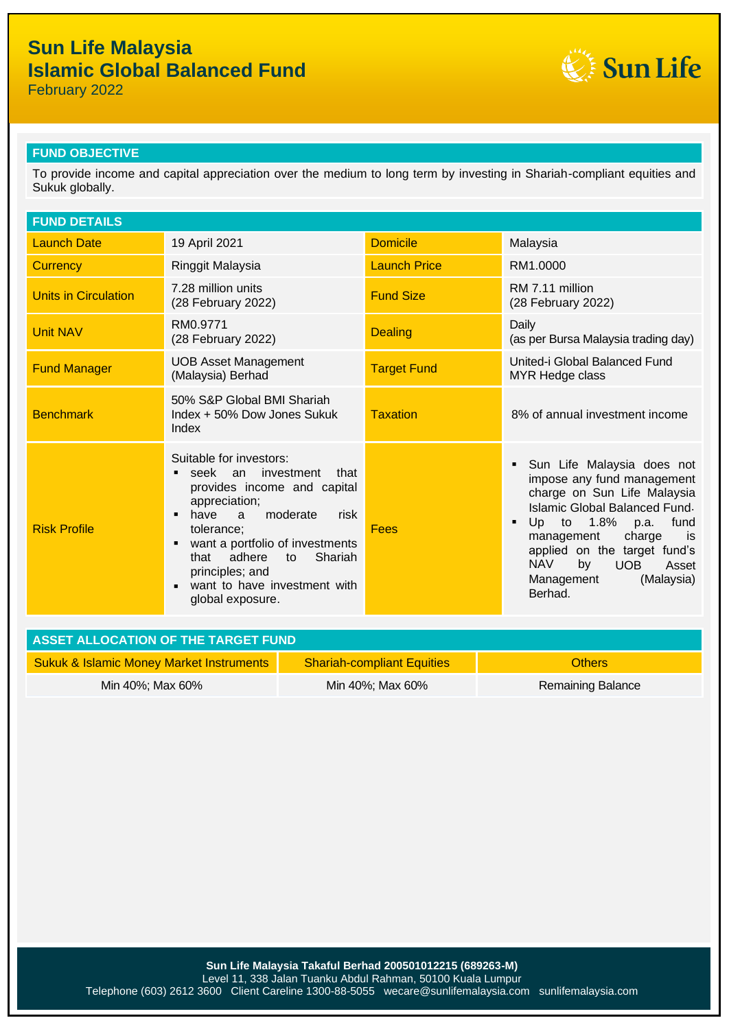February 2022



### **FUND OBJECTIVE**

To provide income and capital appreciation over the medium to long term by investing in Shariah-compliant equities and Sukuk globally.

| <b>FUND DETAILS</b>  |                                                                                                                                                                                                                                                                                                                          |                     |                                                                                                                                                                                                                                                                                                                |
|----------------------|--------------------------------------------------------------------------------------------------------------------------------------------------------------------------------------------------------------------------------------------------------------------------------------------------------------------------|---------------------|----------------------------------------------------------------------------------------------------------------------------------------------------------------------------------------------------------------------------------------------------------------------------------------------------------------|
| <b>Launch Date</b>   | 19 April 2021                                                                                                                                                                                                                                                                                                            | <b>Domicile</b>     | Malaysia                                                                                                                                                                                                                                                                                                       |
| <b>Currency</b>      | Ringgit Malaysia                                                                                                                                                                                                                                                                                                         | <b>Launch Price</b> | RM1.0000                                                                                                                                                                                                                                                                                                       |
| Units in Circulation | 7.28 million units<br>(28 February 2022)                                                                                                                                                                                                                                                                                 | <b>Fund Size</b>    | RM 7.11 million<br>(28 February 2022)                                                                                                                                                                                                                                                                          |
| <b>Unit NAV</b>      | RM0.9771<br>(28 February 2022)                                                                                                                                                                                                                                                                                           | <b>Dealing</b>      | Daily<br>(as per Bursa Malaysia trading day)                                                                                                                                                                                                                                                                   |
| <b>Fund Manager</b>  | <b>UOB Asset Management</b><br>(Malaysia) Berhad                                                                                                                                                                                                                                                                         | <b>Target Fund</b>  | United-i Global Balanced Fund<br>MYR Hedge class                                                                                                                                                                                                                                                               |
| <b>Benchmark</b>     | 50% S&P Global BMI Shariah<br>Index + 50% Dow Jones Sukuk<br>Index                                                                                                                                                                                                                                                       | <b>Taxation</b>     | 8% of annual investment income                                                                                                                                                                                                                                                                                 |
| <b>Risk Profile</b>  | Suitable for investors:<br>seek an investment<br>that<br>provides income and capital<br>appreciation;<br>moderate<br>have<br>$\overline{a}$<br>risk<br>п<br>tolerance:<br>want a portfolio of investments<br>п<br>adhere<br>Shariah<br>that<br>to<br>principles; and<br>want to have investment with<br>global exposure. | Fees                | Sun Life Malaysia does not<br>impose any fund management<br>charge on Sun Life Malaysia<br>Islamic Global Balanced Fund.<br>Up to $1.8\%$<br>fund<br>p.a.<br>٠<br>management<br>charge<br>is<br>applied on the target fund's<br><b>NAV</b><br>by<br><b>UOB</b><br>Asset<br>Management<br>(Malaysia)<br>Berhad. |

| ASSET ALLOCATION OF THE TARGET FUND                 |                                   |                   |  |  |  |
|-----------------------------------------------------|-----------------------------------|-------------------|--|--|--|
| <b>Sukuk &amp; Islamic Money Market Instruments</b> | <b>Shariah-compliant Equities</b> | <b>Others</b>     |  |  |  |
| Min 40%; Max 60%                                    | Min 40%; Max 60%                  | Remaining Balance |  |  |  |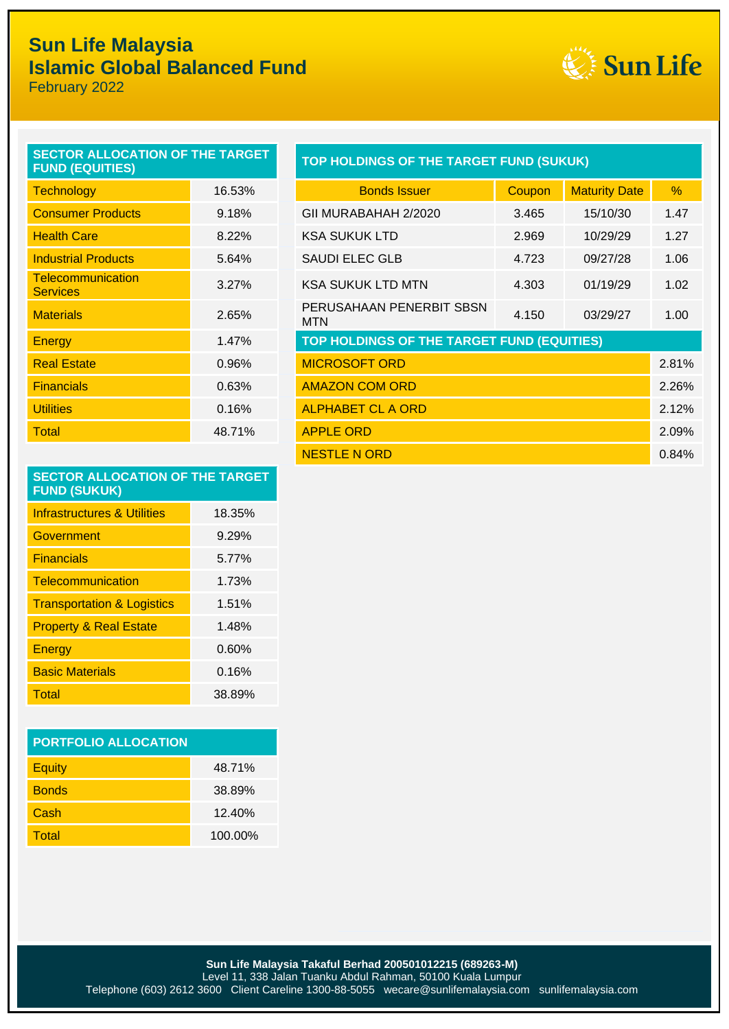

February 2022

| SECTOR ALLOCATION OF THE TARGET<br><b>FUND (EQUITIES)</b> |        | TOP HOLDINGS OF THE TARGET FUND (SUKUK)         |        |               |
|-----------------------------------------------------------|--------|-------------------------------------------------|--------|---------------|
| <b>Technology</b>                                         | 16.53% | <b>Bonds Issuer</b>                             | Coupon | Ma            |
| <b>Consumer Products</b>                                  | 9.18%  | GII MURABAHAH 2/2020                            | 3.465  | 1             |
| <b>Health Care</b>                                        | 8.22%  | <b>KSA SUKUK LTD</b>                            | 2.969  | 1             |
| <b>Industrial Products</b>                                | 5.64%  | <b>SAUDI ELEC GLB</b>                           | 4.723  | C             |
| Telecommunication<br><b>Services</b>                      | 3.27%  | <b>KSA SUKUK LTD MTN</b>                        | 4.303  | $\mathcal{L}$ |
| <b>Materials</b>                                          | 2.65%  | PERUSAHAAN PENERBIT SBSN<br><b>MTN</b>          | 4.150  | C             |
| Energy                                                    | 1.47%  | <b>TOP HOLDINGS OF THE TARGET FUND (EQUITIE</b> |        |               |
| <b>Real Estate</b>                                        | 0.96%  | <b>MICROSOFT ORD</b>                            |        |               |
| <b>Financials</b>                                         | 0.63%  | <b>AMAZON COM ORD</b>                           |        |               |
| <b>Utilities</b>                                          | 0.16%  | <b>ALPHABET CL A ORD</b>                        |        |               |
| <b>Total</b>                                              | 48.71% | <b>APPLE ORD</b>                                |        |               |
|                                                           |        |                                                 |        |               |

| <b>TOP HOLDINGS OF THE TARGET FUND (SUKUK)</b> |  |
|------------------------------------------------|--|
|                                                |  |

| <b>Technology</b>                           | 16.53% | <b>Bonds Issuer</b>                        | Coupon | <b>Maturity Date</b> | $\%$  |
|---------------------------------------------|--------|--------------------------------------------|--------|----------------------|-------|
| <b>Consumer Products</b>                    | 9.18%  | GII MURABAHAH 2/2020                       | 3.465  | 15/10/30             | 1.47  |
| <b>Health Care</b>                          | 8.22%  | <b>KSA SUKUK LTD</b>                       | 2.969  | 10/29/29             | 1.27  |
| <b>Industrial Products</b>                  | 5.64%  | <b>SAUDI ELEC GLB</b>                      | 4.723  | 09/27/28             | 1.06  |
| <b>Telecommunication</b><br><b>Services</b> | 3.27%  | <b>KSA SUKUK LTD MTN</b>                   | 4.303  | 01/19/29             | 1.02  |
| <b>Materials</b>                            | 2.65%  | PERUSAHAAN PENERBIT SBSN<br><b>MTN</b>     | 4.150  | 03/29/27             | 1.00  |
| Energy                                      | 1.47%  | TOP HOLDINGS OF THE TARGET FUND (EQUITIES) |        |                      |       |
| <b>Real Estate</b>                          | 0.96%  | <b>MICROSOFT ORD</b>                       |        |                      | 2.81% |
| <b>Financials</b>                           | 0.63%  | <b>AMAZON COM ORD</b>                      |        |                      | 2.26% |
| <b>Utilities</b>                            | 0.16%  | <b>ALPHABET CL A ORD</b>                   |        |                      | 2.12% |
| Total                                       | 48.71% | <b>APPLE ORD</b>                           |        |                      | 2.09% |
|                                             |        | <b>NESTLE N ORD</b>                        |        |                      | 0.84% |

#### **SECTOR ALLOCATION OF THE TARGET FUND (SUKUK)**

| <b>Infrastructures &amp; Utilities</b> | 18.35% |
|----------------------------------------|--------|
| Government                             | 9.29%  |
| <b>Financials</b>                      | 5.77%  |
| Telecommunication                      | 1.73%  |
| <b>Transportation &amp; Logistics</b>  | 1.51%  |
| <b>Property &amp; Real Estate</b>      | 1.48%  |
| Energy                                 | 0.60%  |
| <b>Basic Materials</b>                 | 0.16%  |
| Total                                  | 38.89% |

| <b>PORTFOLIO ALLOCATION</b> |         |  |  |  |
|-----------------------------|---------|--|--|--|
| <b>Equity</b>               | 48.71%  |  |  |  |
| <b>Bonds</b>                | 38.89%  |  |  |  |
| Cash                        | 12.40%  |  |  |  |
| Total                       | 100.00% |  |  |  |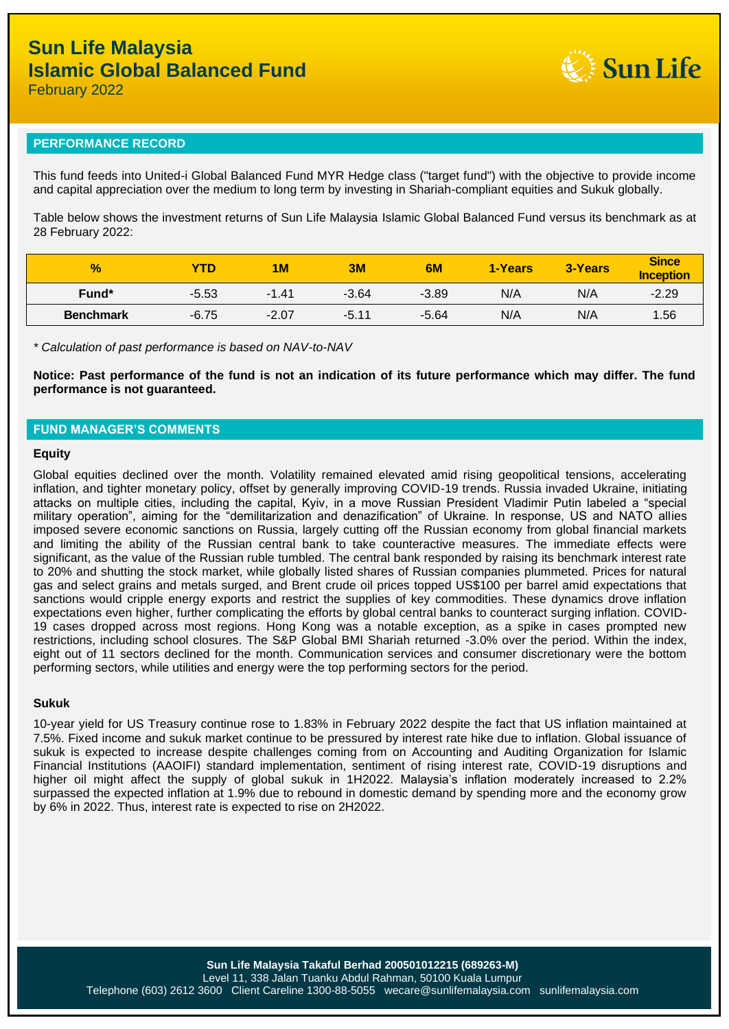**Sun Life** 

February 2022

#### **PERFORMANCE RECORD**

This fund feeds into United-i Global Balanced Fund MYR Hedge class ("target fund") with the objective to provide income and capital appreciation over the medium to long term by investing in Shariah-compliant equities and Sukuk globally.

Table below shows the investment returns of Sun Life Malaysia Islamic Global Balanced Fund versus its benchmark as at 28 February 2022:

| $\frac{9}{6}$     | <b>YTD</b> | 1 <sub>M</sub> | 3M      | 6M      | 1-Years | 3-Years | <b>Since</b><br><b>Inception</b> |
|-------------------|------------|----------------|---------|---------|---------|---------|----------------------------------|
| Fund <sup>*</sup> | $-5.53$    | $-1.41$        | $-3.64$ | $-3.89$ | N/A     | N/A     | $-2.29$                          |
| <b>Benchmark</b>  | $-6.75$    | $-2.07$        | $-5.11$ | $-5.64$ | N/A     | N/A     | 1.56                             |

*\* Calculation of past performance is based on NAV-to-NAV*

**Notice: Past performance of the fund is not an indication of its future performance which may differ. The fund performance is not guaranteed.**

#### **FUND MANAGER'S COMMENTS**

#### **Equity**

Global equities declined over the month. Volatility remained elevated amid rising geopolitical tensions, accelerating inflation, and tighter monetary policy, offset by generally improving COVID-19 trends. Russia invaded Ukraine, initiating attacks on multiple cities, including the capital, Kyiv, in a move Russian President Vladimir Putin labeled a "special military operation", aiming for the "demilitarization and denazification" of Ukraine. In response, US and NATO allies imposed severe economic sanctions on Russia, largely cutting off the Russian economy from global financial markets and limiting the ability of the Russian central bank to take counteractive measures. The immediate effects were significant, as the value of the Russian ruble tumbled. The central bank responded by raising its benchmark interest rate to 20% and shutting the stock market, while globally listed shares of Russian companies plummeted. Prices for natural gas and select grains and metals surged, and Brent crude oil prices topped US\$100 per barrel amid expectations that sanctions would cripple energy exports and restrict the supplies of key commodities. These dynamics drove inflation expectations even higher, further complicating the efforts by global central banks to counteract surging inflation. COVID-19 cases dropped across most regions. Hong Kong was a notable exception, as a spike in cases prompted new restrictions, including school closures. The S&P Global BMI Shariah returned -3.0% over the period. Within the index, eight out of 11 sectors declined for the month. Communication services and consumer discretionary were the bottom performing sectors, while utilities and energy were the top performing sectors for the period.

#### **Sukuk**

10-year yield for US Treasury continue rose to 1.83% in February 2022 despite the fact that US inflation maintained at 7.5%. Fixed income and sukuk market continue to be pressured by interest rate hike due to inflation. Global issuance of sukuk is expected to increase despite challenges coming from on Accounting and Auditing Organization for Islamic Financial Institutions (AAOIFI) standard implementation, sentiment of rising interest rate, COVID-19 disruptions and higher oil might affect the supply of global sukuk in 1H2022. Malaysia's inflation moderately increased to 2.2% surpassed the expected inflation at 1.9% due to rebound in domestic demand by spending more and the economy grow by 6% in 2022. Thus, interest rate is expected to rise on 2H2022.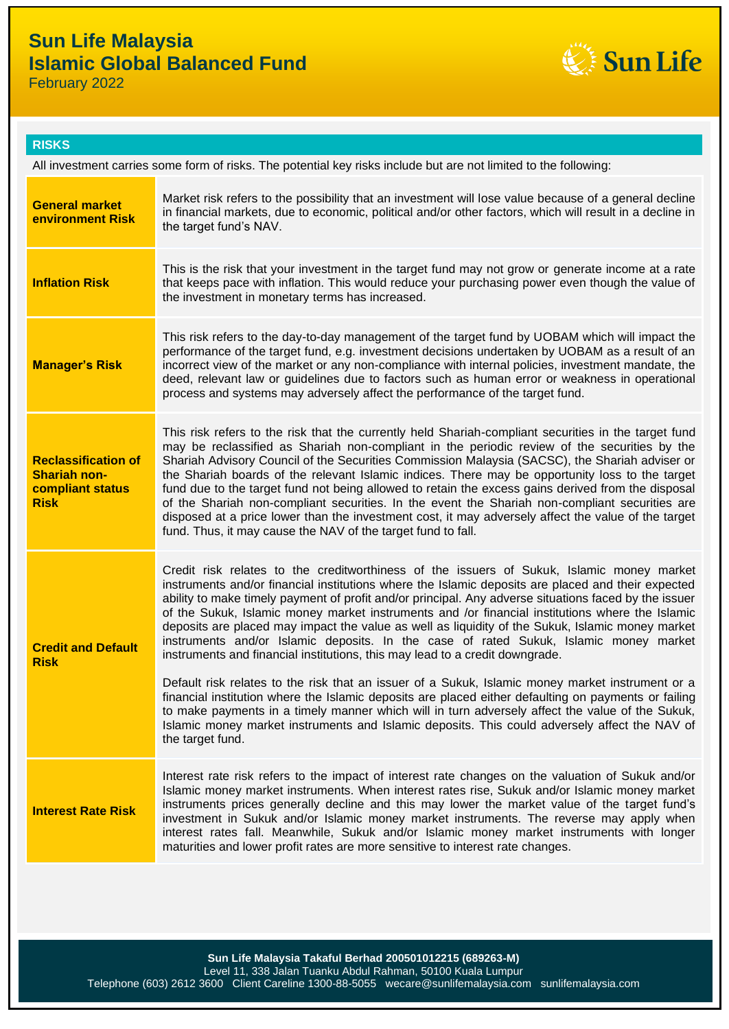

February 2022

|    | ш | z   |
|----|---|-----|
| ъÆ |   | . . |
|    |   |     |

All investment carries some form of risks. The potential key risks include but are not limited to the following:

| <b>General market</b><br><b>environment Risk</b>                                     | Market risk refers to the possibility that an investment will lose value because of a general decline<br>in financial markets, due to economic, political and/or other factors, which will result in a decline in<br>the target fund's NAV.                                                                                                                                                                                                                                                                                                                                                                                                                                                                                                                                                                                                                                                                                                                                                                                                                                                                                  |
|--------------------------------------------------------------------------------------|------------------------------------------------------------------------------------------------------------------------------------------------------------------------------------------------------------------------------------------------------------------------------------------------------------------------------------------------------------------------------------------------------------------------------------------------------------------------------------------------------------------------------------------------------------------------------------------------------------------------------------------------------------------------------------------------------------------------------------------------------------------------------------------------------------------------------------------------------------------------------------------------------------------------------------------------------------------------------------------------------------------------------------------------------------------------------------------------------------------------------|
| <b>Inflation Risk</b>                                                                | This is the risk that your investment in the target fund may not grow or generate income at a rate<br>that keeps pace with inflation. This would reduce your purchasing power even though the value of<br>the investment in monetary terms has increased.                                                                                                                                                                                                                                                                                                                                                                                                                                                                                                                                                                                                                                                                                                                                                                                                                                                                    |
| <b>Manager's Risk</b>                                                                | This risk refers to the day-to-day management of the target fund by UOBAM which will impact the<br>performance of the target fund, e.g. investment decisions undertaken by UOBAM as a result of an<br>incorrect view of the market or any non-compliance with internal policies, investment mandate, the<br>deed, relevant law or guidelines due to factors such as human error or weakness in operational<br>process and systems may adversely affect the performance of the target fund.                                                                                                                                                                                                                                                                                                                                                                                                                                                                                                                                                                                                                                   |
| <b>Reclassification of</b><br><b>Shariah non-</b><br>compliant status<br><b>Risk</b> | This risk refers to the risk that the currently held Shariah-compliant securities in the target fund<br>may be reclassified as Shariah non-compliant in the periodic review of the securities by the<br>Shariah Advisory Council of the Securities Commission Malaysia (SACSC), the Shariah adviser or<br>the Shariah boards of the relevant Islamic indices. There may be opportunity loss to the target<br>fund due to the target fund not being allowed to retain the excess gains derived from the disposal<br>of the Shariah non-compliant securities. In the event the Shariah non-compliant securities are<br>disposed at a price lower than the investment cost, it may adversely affect the value of the target<br>fund. Thus, it may cause the NAV of the target fund to fall.                                                                                                                                                                                                                                                                                                                                     |
| <b>Credit and Default</b><br><b>Risk</b>                                             | Credit risk relates to the creditworthiness of the issuers of Sukuk, Islamic money market<br>instruments and/or financial institutions where the Islamic deposits are placed and their expected<br>ability to make timely payment of profit and/or principal. Any adverse situations faced by the issuer<br>of the Sukuk, Islamic money market instruments and /or financial institutions where the Islamic<br>deposits are placed may impact the value as well as liquidity of the Sukuk, Islamic money market<br>instruments and/or Islamic deposits. In the case of rated Sukuk, Islamic money market<br>instruments and financial institutions, this may lead to a credit downgrade.<br>Default risk relates to the risk that an issuer of a Sukuk, Islamic money market instrument or a<br>financial institution where the Islamic deposits are placed either defaulting on payments or failing<br>to make payments in a timely manner which will in turn adversely affect the value of the Sukuk,<br>Islamic money market instruments and Islamic deposits. This could adversely affect the NAV of<br>the target fund. |
| <b>Interest Rate Risk</b>                                                            | Interest rate risk refers to the impact of interest rate changes on the valuation of Sukuk and/or<br>Islamic money market instruments. When interest rates rise, Sukuk and/or Islamic money market<br>instruments prices generally decline and this may lower the market value of the target fund's<br>investment in Sukuk and/or Islamic money market instruments. The reverse may apply when<br>interest rates fall. Meanwhile, Sukuk and/or Islamic money market instruments with longer<br>maturities and lower profit rates are more sensitive to interest rate changes.                                                                                                                                                                                                                                                                                                                                                                                                                                                                                                                                                |